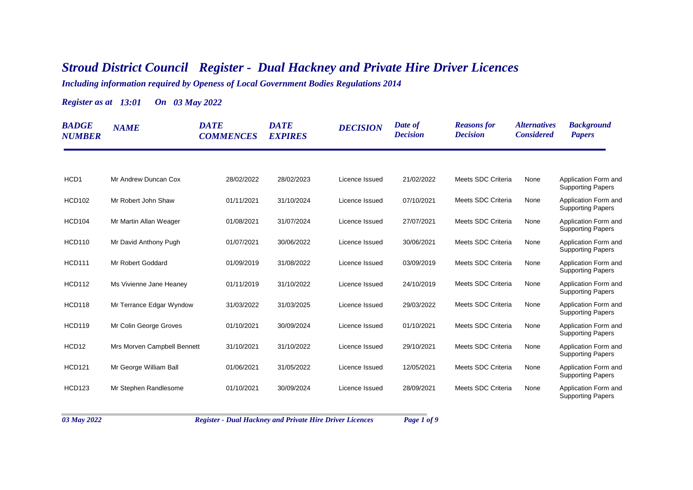## *Stroud District Council Register - Dual Hackney and Private Hire Driver Licences*

*Including information required by Openess of Local Government Bodies Regulations 2014*

*Register as at 13:01 On 03 May 2022*

| <b>BADGE</b><br><b>NUMBER</b> | <b>NAME</b>                 | <b>DATE</b><br><b>COMMENCES</b> | <b>DATE</b><br><b>EXPIRES</b> | <b>DECISION</b> | Date of<br><b>Decision</b> | <b>Reasons</b> for<br><b>Decision</b> | <i><b>Alternatives</b></i><br><b>Considered</b> | <b>Background</b><br><b>Papers</b>               |
|-------------------------------|-----------------------------|---------------------------------|-------------------------------|-----------------|----------------------------|---------------------------------------|-------------------------------------------------|--------------------------------------------------|
|                               |                             |                                 |                               |                 |                            |                                       |                                                 |                                                  |
| HCD <sub>1</sub>              | Mr Andrew Duncan Cox        | 28/02/2022                      | 28/02/2023                    | Licence Issued  | 21/02/2022                 | Meets SDC Criteria                    | None                                            | Application Form and<br><b>Supporting Papers</b> |
| <b>HCD102</b>                 | Mr Robert John Shaw         | 01/11/2021                      | 31/10/2024                    | Licence Issued  | 07/10/2021                 | Meets SDC Criteria                    | None                                            | Application Form and<br><b>Supporting Papers</b> |
| <b>HCD104</b>                 | Mr Martin Allan Weager      | 01/08/2021                      | 31/07/2024                    | Licence Issued  | 27/07/2021                 | Meets SDC Criteria                    | None                                            | Application Form and<br><b>Supporting Papers</b> |
| <b>HCD110</b>                 | Mr David Anthony Pugh       | 01/07/2021                      | 30/06/2022                    | Licence Issued  | 30/06/2021                 | Meets SDC Criteria                    | None                                            | Application Form and<br><b>Supporting Papers</b> |
| <b>HCD111</b>                 | Mr Robert Goddard           | 01/09/2019                      | 31/08/2022                    | Licence Issued  | 03/09/2019                 | Meets SDC Criteria                    | None                                            | Application Form and<br><b>Supporting Papers</b> |
| <b>HCD112</b>                 | Ms Vivienne Jane Heaney     | 01/11/2019                      | 31/10/2022                    | Licence Issued  | 24/10/2019                 | Meets SDC Criteria                    | None                                            | Application Form and<br><b>Supporting Papers</b> |
| <b>HCD118</b>                 | Mr Terrance Edgar Wyndow    | 31/03/2022                      | 31/03/2025                    | Licence Issued  | 29/03/2022                 | Meets SDC Criteria                    | None                                            | Application Form and<br><b>Supporting Papers</b> |
| <b>HCD119</b>                 | Mr Colin George Groves      | 01/10/2021                      | 30/09/2024                    | Licence Issued  | 01/10/2021                 | Meets SDC Criteria                    | None                                            | Application Form and<br><b>Supporting Papers</b> |
| HCD12                         | Mrs Morven Campbell Bennett | 31/10/2021                      | 31/10/2022                    | Licence Issued  | 29/10/2021                 | Meets SDC Criteria                    | None                                            | Application Form and<br><b>Supporting Papers</b> |
| <b>HCD121</b>                 | Mr George William Ball      | 01/06/2021                      | 31/05/2022                    | Licence Issued  | 12/05/2021                 | Meets SDC Criteria                    | None                                            | Application Form and<br><b>Supporting Papers</b> |
| <b>HCD123</b>                 | Mr Stephen Randlesome       | 01/10/2021                      | 30/09/2024                    | Licence Issued  | 28/09/2021                 | Meets SDC Criteria                    | None                                            | Application Form and<br><b>Supporting Papers</b> |

*03 May 2022 Register - Dual Hackney and Private Hire Driver Licences Page 1 of 9*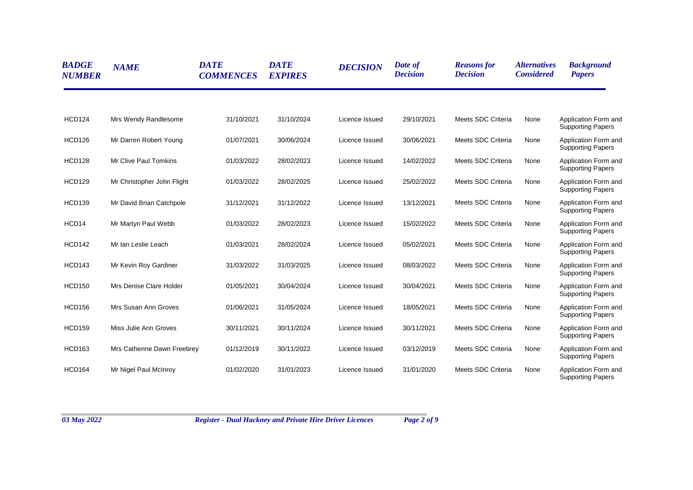| <b>BADGE</b><br><b>NUMBER</b> | <b>NAME</b>                  | <b>DATE</b><br><b>COMMENCES</b> | <b>DATE</b><br><b>EXPIRES</b> | <b>DECISION</b> | Date of<br><b>Decision</b> | <b>Reasons for</b><br><b>Decision</b> | <i><b>Alternatives</b></i><br><b>Considered</b> | <b>Background</b><br><b>Papers</b>               |
|-------------------------------|------------------------------|---------------------------------|-------------------------------|-----------------|----------------------------|---------------------------------------|-------------------------------------------------|--------------------------------------------------|
| <b>HCD124</b>                 | Mrs Wendy Randlesome         | 31/10/2021                      | 31/10/2024                    | Licence Issued  | 29/10/2021                 | Meets SDC Criteria                    | None                                            | Application Form and<br><b>Supporting Papers</b> |
| <b>HCD126</b>                 | Mr Darren Robert Young       | 01/07/2021                      | 30/06/2024                    | Licence Issued  | 30/06/2021                 | Meets SDC Criteria                    | None                                            | Application Form and<br><b>Supporting Papers</b> |
| <b>HCD128</b>                 | <b>Mr Clive Paul Tomkins</b> | 01/03/2022                      | 28/02/2023                    | Licence Issued  | 14/02/2022                 | Meets SDC Criteria                    | None                                            | Application Form and<br><b>Supporting Papers</b> |
| <b>HCD129</b>                 | Mr Christopher John Flight   | 01/03/2022                      | 28/02/2025                    | Licence Issued  | 25/02/2022                 | Meets SDC Criteria                    | None                                            | Application Form and<br><b>Supporting Papers</b> |
| <b>HCD139</b>                 | Mr David Brian Catchpole     | 31/12/2021                      | 31/12/2022                    | Licence Issued  | 13/12/2021                 | Meets SDC Criteria                    | None                                            | Application Form and<br><b>Supporting Papers</b> |
| HCD14                         | Mr Martyn Paul Webb          | 01/03/2022                      | 28/02/2023                    | Licence Issued  | 15/02/2022                 | Meets SDC Criteria                    | None                                            | Application Form and<br><b>Supporting Papers</b> |
| <b>HCD142</b>                 | Mr Ian Leslie Leach          | 01/03/2021                      | 28/02/2024                    | Licence Issued  | 05/02/2021                 | Meets SDC Criteria                    | None                                            | Application Form and<br><b>Supporting Papers</b> |
| <b>HCD143</b>                 | Mr Kevin Roy Gardiner        | 31/03/2022                      | 31/03/2025                    | Licence Issued  | 08/03/2022                 | Meets SDC Criteria                    | None                                            | Application Form and<br><b>Supporting Papers</b> |
| <b>HCD150</b>                 | Mrs Denise Clare Holder      | 01/05/2021                      | 30/04/2024                    | Licence Issued  | 30/04/2021                 | Meets SDC Criteria                    | None                                            | Application Form and<br><b>Supporting Papers</b> |
| <b>HCD156</b>                 | Mrs Susan Ann Groves         | 01/06/2021                      | 31/05/2024                    | Licence Issued  | 18/05/2021                 | Meets SDC Criteria                    | None                                            | Application Form and<br><b>Supporting Papers</b> |
| <b>HCD159</b>                 | Miss Julie Ann Groves        | 30/11/2021                      | 30/11/2024                    | Licence Issued  | 30/11/2021                 | Meets SDC Criteria                    | None                                            | Application Form and<br><b>Supporting Papers</b> |
| <b>HCD163</b>                 | Mrs Catherine Dawn Freebrey  | 01/12/2019                      | 30/11/2022                    | Licence Issued  | 03/12/2019                 | Meets SDC Criteria                    | None                                            | Application Form and<br><b>Supporting Papers</b> |
| <b>HCD164</b>                 | Mr Nigel Paul McInroy        | 01/02/2020                      | 31/01/2023                    | Licence Issued  | 31/01/2020                 | Meets SDC Criteria                    | None                                            | Application Form and<br><b>Supporting Papers</b> |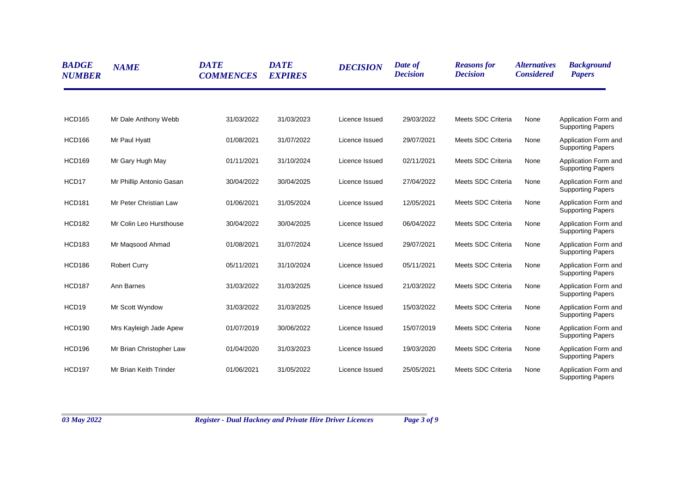| <b>BADGE</b><br><b>NUMBER</b> | <b>NAME</b>              | <b>DATE</b><br><b>COMMENCES</b> | <b>DATE</b><br><b>EXPIRES</b> | <b>DECISION</b> | Date of<br><b>Decision</b> | <b>Reasons for</b><br><b>Decision</b> | <i><b>Alternatives</b></i><br><b>Considered</b> | <b>Background</b><br><b>Papers</b>                                           |
|-------------------------------|--------------------------|---------------------------------|-------------------------------|-----------------|----------------------------|---------------------------------------|-------------------------------------------------|------------------------------------------------------------------------------|
| <b>HCD165</b>                 | Mr Dale Anthony Webb     | 31/03/2022                      | 31/03/2023                    | Licence Issued  | 29/03/2022                 | Meets SDC Criteria                    | None                                            | Application Form and                                                         |
| <b>HCD166</b>                 | Mr Paul Hyatt            | 01/08/2021                      | 31/07/2022                    | Licence Issued  | 29/07/2021                 | Meets SDC Criteria                    | None                                            | <b>Supporting Papers</b><br>Application Form and<br><b>Supporting Papers</b> |
| <b>HCD169</b>                 | Mr Gary Hugh May         | 01/11/2021                      | 31/10/2024                    | Licence Issued  | 02/11/2021                 | Meets SDC Criteria                    | None                                            | Application Form and<br><b>Supporting Papers</b>                             |
| HCD17                         | Mr Phillip Antonio Gasan | 30/04/2022                      | 30/04/2025                    | Licence Issued  | 27/04/2022                 | Meets SDC Criteria                    | None                                            | Application Form and<br><b>Supporting Papers</b>                             |
| <b>HCD181</b>                 | Mr Peter Christian Law   | 01/06/2021                      | 31/05/2024                    | Licence Issued  | 12/05/2021                 | Meets SDC Criteria                    | None                                            | Application Form and<br><b>Supporting Papers</b>                             |
| <b>HCD182</b>                 | Mr Colin Leo Hursthouse  | 30/04/2022                      | 30/04/2025                    | Licence Issued  | 06/04/2022                 | Meets SDC Criteria                    | None                                            | Application Form and<br><b>Supporting Papers</b>                             |
| <b>HCD183</b>                 | Mr Magsood Ahmad         | 01/08/2021                      | 31/07/2024                    | Licence Issued  | 29/07/2021                 | Meets SDC Criteria                    | None                                            | Application Form and<br><b>Supporting Papers</b>                             |
| <b>HCD186</b>                 | <b>Robert Curry</b>      | 05/11/2021                      | 31/10/2024                    | Licence Issued  | 05/11/2021                 | Meets SDC Criteria                    | None                                            | Application Form and<br><b>Supporting Papers</b>                             |
| <b>HCD187</b>                 | Ann Barnes               | 31/03/2022                      | 31/03/2025                    | Licence Issued  | 21/03/2022                 | Meets SDC Criteria                    | None                                            | Application Form and<br><b>Supporting Papers</b>                             |
| HCD19                         | Mr Scott Wyndow          | 31/03/2022                      | 31/03/2025                    | Licence Issued  | 15/03/2022                 | Meets SDC Criteria                    | None                                            | Application Form and<br><b>Supporting Papers</b>                             |
| <b>HCD190</b>                 | Mrs Kayleigh Jade Apew   | 01/07/2019                      | 30/06/2022                    | Licence Issued  | 15/07/2019                 | Meets SDC Criteria                    | None                                            | Application Form and<br><b>Supporting Papers</b>                             |
| <b>HCD196</b>                 | Mr Brian Christopher Law | 01/04/2020                      | 31/03/2023                    | Licence Issued  | 19/03/2020                 | Meets SDC Criteria                    | None                                            | Application Form and<br><b>Supporting Papers</b>                             |
| <b>HCD197</b>                 | Mr Brian Keith Trinder   | 01/06/2021                      | 31/05/2022                    | Licence Issued  | 25/05/2021                 | Meets SDC Criteria                    | None                                            | Application Form and<br><b>Supporting Papers</b>                             |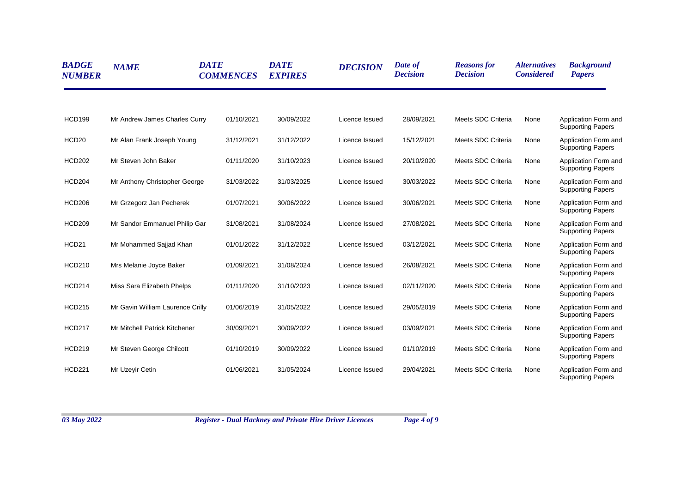| <b>BADGE</b><br><b>NUMBER</b> | <b>NAME</b>                      | <b>DATE</b><br><b>COMMENCES</b> | <b>DATE</b><br><b>EXPIRES</b> | <b>DECISION</b> | Date of<br><b>Decision</b> | <b>Reasons for</b><br><b>Decision</b> | <i><b>Alternatives</b></i><br><b>Considered</b> | <b>Background</b><br><b>Papers</b>               |
|-------------------------------|----------------------------------|---------------------------------|-------------------------------|-----------------|----------------------------|---------------------------------------|-------------------------------------------------|--------------------------------------------------|
| <b>HCD199</b>                 | Mr Andrew James Charles Curry    | 01/10/2021                      | 30/09/2022                    | Licence Issued  | 28/09/2021                 | Meets SDC Criteria                    | None                                            | Application Form and<br><b>Supporting Papers</b> |
| HCD <sub>20</sub>             | Mr Alan Frank Joseph Young       | 31/12/2021                      | 31/12/2022                    | Licence Issued  | 15/12/2021                 | Meets SDC Criteria                    | None                                            | Application Form and<br><b>Supporting Papers</b> |
| <b>HCD202</b>                 | Mr Steven John Baker             | 01/11/2020                      | 31/10/2023                    | Licence Issued  | 20/10/2020                 | Meets SDC Criteria                    | None                                            | Application Form and<br><b>Supporting Papers</b> |
| <b>HCD204</b>                 | Mr Anthony Christopher George    | 31/03/2022                      | 31/03/2025                    | Licence Issued  | 30/03/2022                 | Meets SDC Criteria                    | None                                            | Application Form and<br><b>Supporting Papers</b> |
| <b>HCD206</b>                 | Mr Grzegorz Jan Pecherek         | 01/07/2021                      | 30/06/2022                    | Licence Issued  | 30/06/2021                 | Meets SDC Criteria                    | None                                            | Application Form and<br><b>Supporting Papers</b> |
| <b>HCD209</b>                 | Mr Sandor Emmanuel Philip Gar    | 31/08/2021                      | 31/08/2024                    | Licence Issued  | 27/08/2021                 | Meets SDC Criteria                    | None                                            | Application Form and<br><b>Supporting Papers</b> |
| HCD21                         | Mr Mohammed Sajjad Khan          | 01/01/2022                      | 31/12/2022                    | Licence Issued  | 03/12/2021                 | Meets SDC Criteria                    | None                                            | Application Form and<br><b>Supporting Papers</b> |
| <b>HCD210</b>                 | Mrs Melanie Joyce Baker          | 01/09/2021                      | 31/08/2024                    | Licence Issued  | 26/08/2021                 | Meets SDC Criteria                    | None                                            | Application Form and<br><b>Supporting Papers</b> |
| <b>HCD214</b>                 | Miss Sara Elizabeth Phelps       | 01/11/2020                      | 31/10/2023                    | Licence Issued  | 02/11/2020                 | Meets SDC Criteria                    | None                                            | Application Form and<br><b>Supporting Papers</b> |
| <b>HCD215</b>                 | Mr Gavin William Laurence Crilly | 01/06/2019                      | 31/05/2022                    | Licence Issued  | 29/05/2019                 | Meets SDC Criteria                    | None                                            | Application Form and<br><b>Supporting Papers</b> |
| <b>HCD217</b>                 | Mr Mitchell Patrick Kitchener    | 30/09/2021                      | 30/09/2022                    | Licence Issued  | 03/09/2021                 | Meets SDC Criteria                    | None                                            | Application Form and<br><b>Supporting Papers</b> |
| <b>HCD219</b>                 | Mr Steven George Chilcott        | 01/10/2019                      | 30/09/2022                    | Licence Issued  | 01/10/2019                 | Meets SDC Criteria                    | None                                            | Application Form and<br><b>Supporting Papers</b> |
| <b>HCD221</b>                 | Mr Uzeyir Cetin                  | 01/06/2021                      | 31/05/2024                    | Licence Issued  | 29/04/2021                 | Meets SDC Criteria                    | None                                            | Application Form and<br><b>Supporting Papers</b> |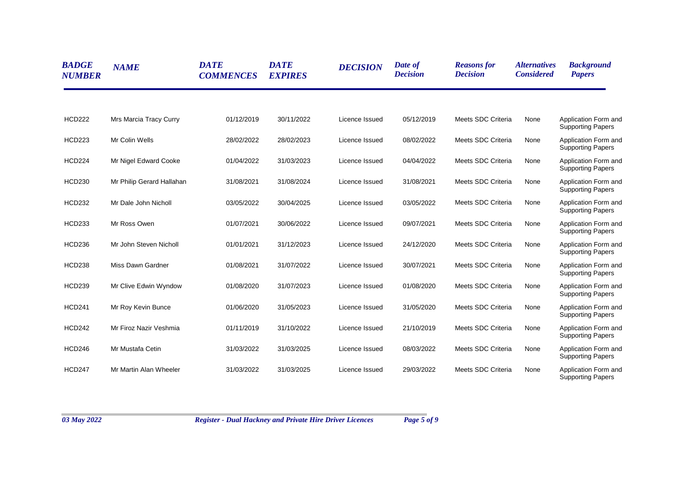| <b>BADGE</b><br><b>NUMBER</b> | <b>NAME</b>               | <b>DATE</b><br><b>COMMENCES</b> | <b>DATE</b><br><b>EXPIRES</b> | <b>DECISION</b> | Date of<br><b>Decision</b> | <b>Reasons for</b><br><b>Decision</b> | <i><b>Alternatives</b></i><br><b>Considered</b> | <b>Background</b><br><b>Papers</b>                                           |
|-------------------------------|---------------------------|---------------------------------|-------------------------------|-----------------|----------------------------|---------------------------------------|-------------------------------------------------|------------------------------------------------------------------------------|
| <b>HCD222</b>                 | Mrs Marcia Tracy Curry    | 01/12/2019                      | 30/11/2022                    | Licence Issued  | 05/12/2019                 | Meets SDC Criteria                    | None                                            | Application Form and                                                         |
| <b>HCD223</b>                 | Mr Colin Wells            | 28/02/2022                      | 28/02/2023                    | Licence Issued  | 08/02/2022                 | Meets SDC Criteria                    | None                                            | <b>Supporting Papers</b><br>Application Form and<br><b>Supporting Papers</b> |
| <b>HCD224</b>                 | Mr Nigel Edward Cooke     | 01/04/2022                      | 31/03/2023                    | Licence Issued  | 04/04/2022                 | Meets SDC Criteria                    | None                                            | Application Form and<br><b>Supporting Papers</b>                             |
| <b>HCD230</b>                 | Mr Philip Gerard Hallahan | 31/08/2021                      | 31/08/2024                    | Licence Issued  | 31/08/2021                 | Meets SDC Criteria                    | None                                            | Application Form and<br><b>Supporting Papers</b>                             |
| <b>HCD232</b>                 | Mr Dale John Nicholl      | 03/05/2022                      | 30/04/2025                    | Licence Issued  | 03/05/2022                 | Meets SDC Criteria                    | None                                            | Application Form and<br><b>Supporting Papers</b>                             |
| <b>HCD233</b>                 | Mr Ross Owen              | 01/07/2021                      | 30/06/2022                    | Licence Issued  | 09/07/2021                 | Meets SDC Criteria                    | None                                            | Application Form and<br><b>Supporting Papers</b>                             |
| <b>HCD236</b>                 | Mr John Steven Nicholl    | 01/01/2021                      | 31/12/2023                    | Licence Issued  | 24/12/2020                 | Meets SDC Criteria                    | None                                            | Application Form and<br><b>Supporting Papers</b>                             |
| <b>HCD238</b>                 | Miss Dawn Gardner         | 01/08/2021                      | 31/07/2022                    | Licence Issued  | 30/07/2021                 | Meets SDC Criteria                    | None                                            | Application Form and<br><b>Supporting Papers</b>                             |
| <b>HCD239</b>                 | Mr Clive Edwin Wyndow     | 01/08/2020                      | 31/07/2023                    | Licence Issued  | 01/08/2020                 | Meets SDC Criteria                    | None                                            | Application Form and<br><b>Supporting Papers</b>                             |
| <b>HCD241</b>                 | Mr Roy Kevin Bunce        | 01/06/2020                      | 31/05/2023                    | Licence Issued  | 31/05/2020                 | Meets SDC Criteria                    | None                                            | Application Form and<br><b>Supporting Papers</b>                             |
| <b>HCD242</b>                 | Mr Firoz Nazir Veshmia    | 01/11/2019                      | 31/10/2022                    | Licence Issued  | 21/10/2019                 | Meets SDC Criteria                    | None                                            | Application Form and<br><b>Supporting Papers</b>                             |
| <b>HCD246</b>                 | Mr Mustafa Cetin          | 31/03/2022                      | 31/03/2025                    | Licence Issued  | 08/03/2022                 | Meets SDC Criteria                    | None                                            | Application Form and<br><b>Supporting Papers</b>                             |
| <b>HCD247</b>                 | Mr Martin Alan Wheeler    | 31/03/2022                      | 31/03/2025                    | Licence Issued  | 29/03/2022                 | Meets SDC Criteria                    | None                                            | Application Form and<br><b>Supporting Papers</b>                             |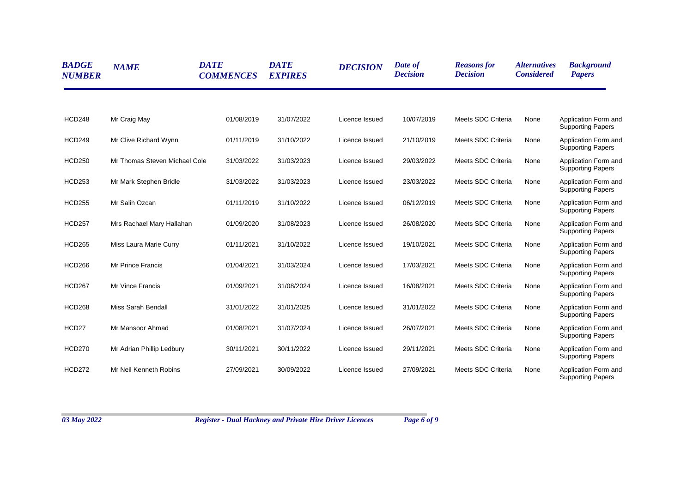| <b>BADGE</b><br><b>NUMBER</b> | <b>NAME</b>                   | <b>DATE</b><br><b>COMMENCES</b> | <b>DATE</b><br><b>EXPIRES</b> | <b>DECISION</b> | Date of<br><b>Decision</b> | <b>Reasons for</b><br><b>Decision</b> | <i><b>Alternatives</b></i><br><b>Considered</b> | <b>Background</b><br><b>Papers</b>               |
|-------------------------------|-------------------------------|---------------------------------|-------------------------------|-----------------|----------------------------|---------------------------------------|-------------------------------------------------|--------------------------------------------------|
| <b>HCD248</b>                 | Mr Craig May                  | 01/08/2019                      | 31/07/2022                    | Licence Issued  | 10/07/2019                 | Meets SDC Criteria                    | None                                            | Application Form and<br><b>Supporting Papers</b> |
| <b>HCD249</b>                 | Mr Clive Richard Wynn         | 01/11/2019                      | 31/10/2022                    | Licence Issued  | 21/10/2019                 | Meets SDC Criteria                    | None                                            | Application Form and<br><b>Supporting Papers</b> |
| <b>HCD250</b>                 | Mr Thomas Steven Michael Cole | 31/03/2022                      | 31/03/2023                    | Licence Issued  | 29/03/2022                 | Meets SDC Criteria                    | None                                            | Application Form and<br><b>Supporting Papers</b> |
| <b>HCD253</b>                 | Mr Mark Stephen Bridle        | 31/03/2022                      | 31/03/2023                    | Licence Issued  | 23/03/2022                 | Meets SDC Criteria                    | None                                            | Application Form and<br><b>Supporting Papers</b> |
| <b>HCD255</b>                 | Mr Salih Ozcan                | 01/11/2019                      | 31/10/2022                    | Licence Issued  | 06/12/2019                 | Meets SDC Criteria                    | None                                            | Application Form and<br><b>Supporting Papers</b> |
| <b>HCD257</b>                 | Mrs Rachael Mary Hallahan     | 01/09/2020                      | 31/08/2023                    | Licence Issued  | 26/08/2020                 | Meets SDC Criteria                    | None                                            | Application Form and<br><b>Supporting Papers</b> |
| <b>HCD265</b>                 | Miss Laura Marie Curry        | 01/11/2021                      | 31/10/2022                    | Licence Issued  | 19/10/2021                 | Meets SDC Criteria                    | None                                            | Application Form and<br><b>Supporting Papers</b> |
| <b>HCD266</b>                 | <b>Mr Prince Francis</b>      | 01/04/2021                      | 31/03/2024                    | Licence Issued  | 17/03/2021                 | Meets SDC Criteria                    | None                                            | Application Form and<br><b>Supporting Papers</b> |
| <b>HCD267</b>                 | Mr Vince Francis              | 01/09/2021                      | 31/08/2024                    | Licence Issued  | 16/08/2021                 | Meets SDC Criteria                    | None                                            | Application Form and<br><b>Supporting Papers</b> |
| <b>HCD268</b>                 | Miss Sarah Bendall            | 31/01/2022                      | 31/01/2025                    | Licence Issued  | 31/01/2022                 | Meets SDC Criteria                    | None                                            | Application Form and<br><b>Supporting Papers</b> |
| HCD27                         | Mr Mansoor Ahmad              | 01/08/2021                      | 31/07/2024                    | Licence Issued  | 26/07/2021                 | Meets SDC Criteria                    | None                                            | Application Form and<br><b>Supporting Papers</b> |
| <b>HCD270</b>                 | Mr Adrian Phillip Ledbury     | 30/11/2021                      | 30/11/2022                    | Licence Issued  | 29/11/2021                 | Meets SDC Criteria                    | None                                            | Application Form and<br><b>Supporting Papers</b> |
| <b>HCD272</b>                 | Mr Neil Kenneth Robins        | 27/09/2021                      | 30/09/2022                    | Licence Issued  | 27/09/2021                 | Meets SDC Criteria                    | None                                            | Application Form and<br><b>Supporting Papers</b> |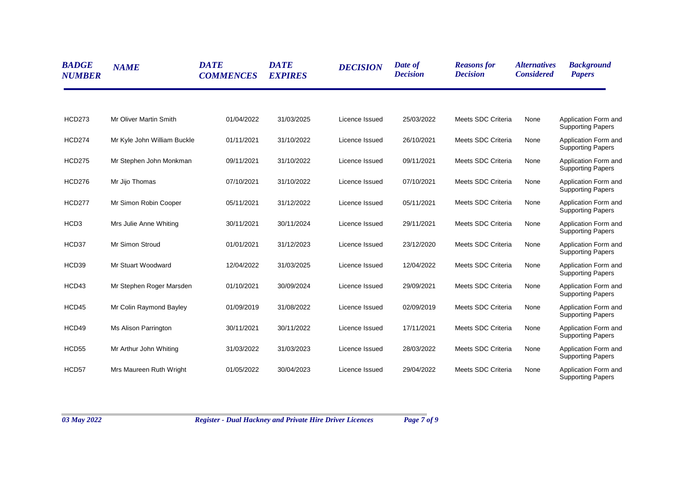| <b>BADGE</b><br><b>NUMBER</b> | <b>NAME</b>                 | <b>DATE</b><br><b>COMMENCES</b> | <b>DATE</b><br><b>EXPIRES</b> | <b>DECISION</b> | Date of<br><b>Decision</b> | <b>Reasons for</b><br><b>Decision</b> | <i><b>Alternatives</b></i><br><b>Considered</b> | <b>Background</b><br><b>Papers</b>               |
|-------------------------------|-----------------------------|---------------------------------|-------------------------------|-----------------|----------------------------|---------------------------------------|-------------------------------------------------|--------------------------------------------------|
| <b>HCD273</b>                 | Mr Oliver Martin Smith      | 01/04/2022                      | 31/03/2025                    | Licence Issued  | 25/03/2022                 | Meets SDC Criteria                    | None                                            | Application Form and<br><b>Supporting Papers</b> |
| <b>HCD274</b>                 | Mr Kyle John William Buckle | 01/11/2021                      | 31/10/2022                    | Licence Issued  | 26/10/2021                 | Meets SDC Criteria                    | None                                            | Application Form and<br><b>Supporting Papers</b> |
| <b>HCD275</b>                 | Mr Stephen John Monkman     | 09/11/2021                      | 31/10/2022                    | Licence Issued  | 09/11/2021                 | Meets SDC Criteria                    | None                                            | Application Form and<br><b>Supporting Papers</b> |
| <b>HCD276</b>                 | Mr Jijo Thomas              | 07/10/2021                      | 31/10/2022                    | Licence Issued  | 07/10/2021                 | Meets SDC Criteria                    | None                                            | Application Form and<br><b>Supporting Papers</b> |
| <b>HCD277</b>                 | Mr Simon Robin Cooper       | 05/11/2021                      | 31/12/2022                    | Licence Issued  | 05/11/2021                 | Meets SDC Criteria                    | None                                            | Application Form and<br><b>Supporting Papers</b> |
| HCD <sub>3</sub>              | Mrs Julie Anne Whiting      | 30/11/2021                      | 30/11/2024                    | Licence Issued  | 29/11/2021                 | Meets SDC Criteria                    | None                                            | Application Form and<br><b>Supporting Papers</b> |
| HCD37                         | Mr Simon Stroud             | 01/01/2021                      | 31/12/2023                    | Licence Issued  | 23/12/2020                 | Meets SDC Criteria                    | None                                            | Application Form and<br><b>Supporting Papers</b> |
| HCD39                         | Mr Stuart Woodward          | 12/04/2022                      | 31/03/2025                    | Licence Issued  | 12/04/2022                 | Meets SDC Criteria                    | None                                            | Application Form and<br><b>Supporting Papers</b> |
| HCD43                         | Mr Stephen Roger Marsden    | 01/10/2021                      | 30/09/2024                    | Licence Issued  | 29/09/2021                 | Meets SDC Criteria                    | None                                            | Application Form and<br><b>Supporting Papers</b> |
| HCD45                         | Mr Colin Raymond Bayley     | 01/09/2019                      | 31/08/2022                    | Licence Issued  | 02/09/2019                 | Meets SDC Criteria                    | None                                            | Application Form and<br><b>Supporting Papers</b> |
| HCD49                         | <b>Ms Alison Parrington</b> | 30/11/2021                      | 30/11/2022                    | Licence Issued  | 17/11/2021                 | Meets SDC Criteria                    | None                                            | Application Form and<br><b>Supporting Papers</b> |
| HCD55                         | Mr Arthur John Whiting      | 31/03/2022                      | 31/03/2023                    | Licence Issued  | 28/03/2022                 | Meets SDC Criteria                    | None                                            | Application Form and<br><b>Supporting Papers</b> |
| HCD57                         | Mrs Maureen Ruth Wright     | 01/05/2022                      | 30/04/2023                    | Licence Issued  | 29/04/2022                 | Meets SDC Criteria                    | None                                            | Application Form and<br><b>Supporting Papers</b> |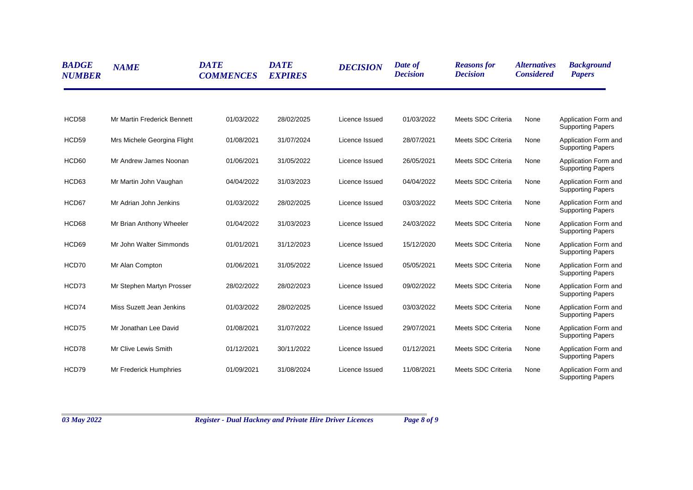| <b>BADGE</b><br><b>NUMBER</b> | <b>NAME</b>                 | <b>DATE</b><br><b>COMMENCES</b> | <b>DATE</b><br><b>EXPIRES</b> | <b>DECISION</b> | Date of<br><b>Decision</b> | <b>Reasons for</b><br><b>Decision</b> | <i><b>Alternatives</b></i><br><b>Considered</b> | <b>Background</b><br><b>Papers</b>               |
|-------------------------------|-----------------------------|---------------------------------|-------------------------------|-----------------|----------------------------|---------------------------------------|-------------------------------------------------|--------------------------------------------------|
| HCD58                         | Mr Martin Frederick Bennett | 01/03/2022                      | 28/02/2025                    | Licence Issued  | 01/03/2022                 | Meets SDC Criteria                    | None                                            | Application Form and<br><b>Supporting Papers</b> |
| HCD59                         | Mrs Michele Georgina Flight | 01/08/2021                      | 31/07/2024                    | Licence Issued  | 28/07/2021                 | Meets SDC Criteria                    | None                                            | Application Form and<br><b>Supporting Papers</b> |
| HCD60                         | Mr Andrew James Noonan      | 01/06/2021                      | 31/05/2022                    | Licence Issued  | 26/05/2021                 | Meets SDC Criteria                    | None                                            | Application Form and<br><b>Supporting Papers</b> |
| HCD63                         | Mr Martin John Vaughan      | 04/04/2022                      | 31/03/2023                    | Licence Issued  | 04/04/2022                 | Meets SDC Criteria                    | None                                            | Application Form and<br><b>Supporting Papers</b> |
| HCD67                         | Mr Adrian John Jenkins      | 01/03/2022                      | 28/02/2025                    | Licence Issued  | 03/03/2022                 | Meets SDC Criteria                    | None                                            | Application Form and<br><b>Supporting Papers</b> |
| HCD68                         | Mr Brian Anthony Wheeler    | 01/04/2022                      | 31/03/2023                    | Licence Issued  | 24/03/2022                 | Meets SDC Criteria                    | None                                            | Application Form and<br><b>Supporting Papers</b> |
| HCD69                         | Mr John Walter Simmonds     | 01/01/2021                      | 31/12/2023                    | Licence Issued  | 15/12/2020                 | Meets SDC Criteria                    | None                                            | Application Form and<br><b>Supporting Papers</b> |
| HCD70                         | Mr Alan Compton             | 01/06/2021                      | 31/05/2022                    | Licence Issued  | 05/05/2021                 | Meets SDC Criteria                    | None                                            | Application Form and<br><b>Supporting Papers</b> |
| HCD73                         | Mr Stephen Martyn Prosser   | 28/02/2022                      | 28/02/2023                    | Licence Issued  | 09/02/2022                 | Meets SDC Criteria                    | None                                            | Application Form and<br><b>Supporting Papers</b> |
| HCD74                         | Miss Suzett Jean Jenkins    | 01/03/2022                      | 28/02/2025                    | Licence Issued  | 03/03/2022                 | Meets SDC Criteria                    | None                                            | Application Form and<br><b>Supporting Papers</b> |
| HCD75                         | Mr Jonathan Lee David       | 01/08/2021                      | 31/07/2022                    | Licence Issued  | 29/07/2021                 | Meets SDC Criteria                    | None                                            | Application Form and<br><b>Supporting Papers</b> |
| HCD78                         | Mr Clive Lewis Smith        | 01/12/2021                      | 30/11/2022                    | Licence Issued  | 01/12/2021                 | Meets SDC Criteria                    | None                                            | Application Form and<br><b>Supporting Papers</b> |
| HCD79                         | Mr Frederick Humphries      | 01/09/2021                      | 31/08/2024                    | Licence Issued  | 11/08/2021                 | Meets SDC Criteria                    | None                                            | Application Form and<br><b>Supporting Papers</b> |